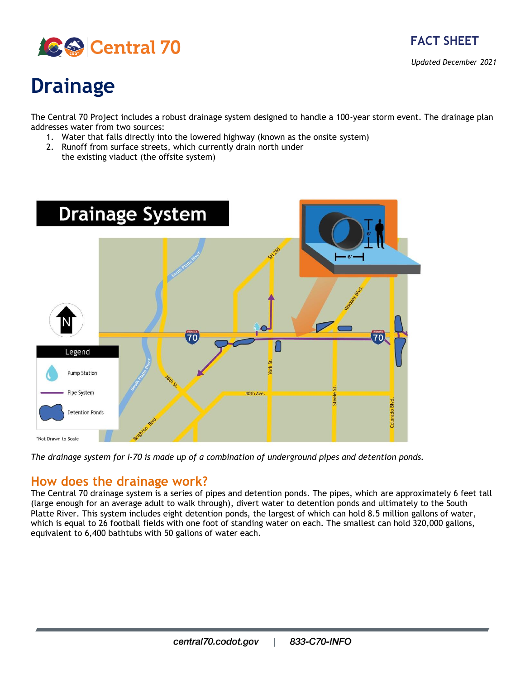



*Updated December 2021*

# **Drainage**

The Central 70 Project includes a robust drainage system designed to handle a 100-year storm event. The drainage plan addresses water from two sources:

- 1. Water that falls directly into the lowered highway (known as the onsite system)
- 2. Runoff from surface streets, which currently drain north under the existing viaduct (the offsite system)
- **Drainage System** 70 70 Legend **Pump Station** Pipe System 40th Ave **Detention Ponds** \*Not Drawn to Scale

*The drainage system for I-70 is made up of a combination of underground pipes and detention ponds.*

#### **How does the drainage work?**

The Central 70 drainage system is a series of pipes and detention ponds. The pipes, which are approximately 6 feet tall (large enough for an average adult to walk through), divert water to detention ponds and ultimately to the South Platte River. This system includes eight detention ponds, the largest of which can hold 8.5 million gallons of water, which is equal to 26 football fields with one foot of standing water on each. The smallest can hold 320,000 gallons, equivalent to 6,400 bathtubs with 50 gallons of water each.